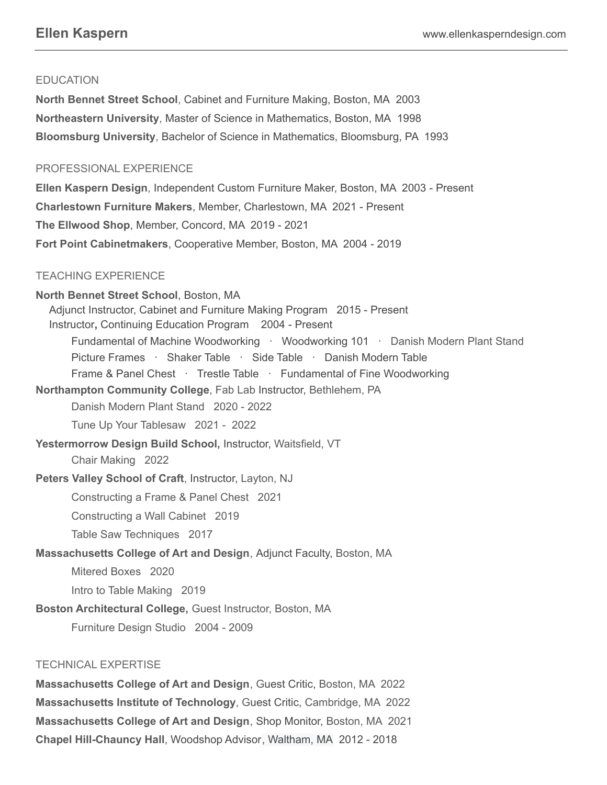# **EDUCATION**

**North Bennet Street School**, Cabinet and Furniture Making, Boston, MA 2003 **Northeastern University**, Master of Science in Mathematics, Boston, MA 1998 **Bloomsburg University**, Bachelor of Science in Mathematics, Bloomsburg, PA 1993

# PROFESSIONAL EXPERIENCE

**Ellen Kaspern Design**, Independent Custom Furniture Maker, Boston, MA 2003 - Present **Charlestown Furniture Makers**, Member, Charlestown, MA 2021 - Present **The Ellwood Shop**, Member, Concord, MA 2019 - 2021 **Fort Point Cabinetmakers**, Cooperative Member, Boston, MA 2004 - 2019

# TEACHING EXPERIENCE

**North Bennet Street School**, Boston, MA Adjunct Instructor, Cabinet and Furniture Making Program 2015 - Present Instructor**,** Continuing Education Program 2004 - Present Fundamental of Machine Woodworking · Woodworking 101 · Danish Modern Plant Stand Picture Frames · Shaker Table · Side Table · Danish Modern Table Frame & Panel Chest · Trestle Table · Fundamental of Fine Woodworking **Northampton Community College**, Fab Lab Instructor, Bethlehem, PA Danish Modern Plant Stand 2020 - 2022 Tune Up Your Tablesaw 2021 - 2022 **Yestermorrow Design Build School,** Instructor, Waitsfield, VT Chair Making 2022 **Peters Valley School of Craft**, Instructor, Layton, NJ Constructing a Frame & Panel Chest 2021 Constructing a Wall Cabinet 2019 Table Saw Techniques 2017 **Massachusetts College of Art and Design**, Adjunct Faculty, Boston, MA Mitered Boxes 2020 Intro to Table Making 2019 **Boston Architectural College,** Guest Instructor, Boston, MA Furniture Design Studio 2004 - 2009

# TECHNICAL EXPERTISE

**Massachusetts College of Art and Design**, Guest Critic, Boston, MA 2022 **Massachusetts Institute of Technology**, Guest Critic, Cambridge, MA 2022 **Massachusetts College of Art and Design**, Shop Monitor, Boston, MA 2021 **Chapel Hill-Chauncy Hall**, Woodshop Advisor, Waltham, MA 2012 - 2018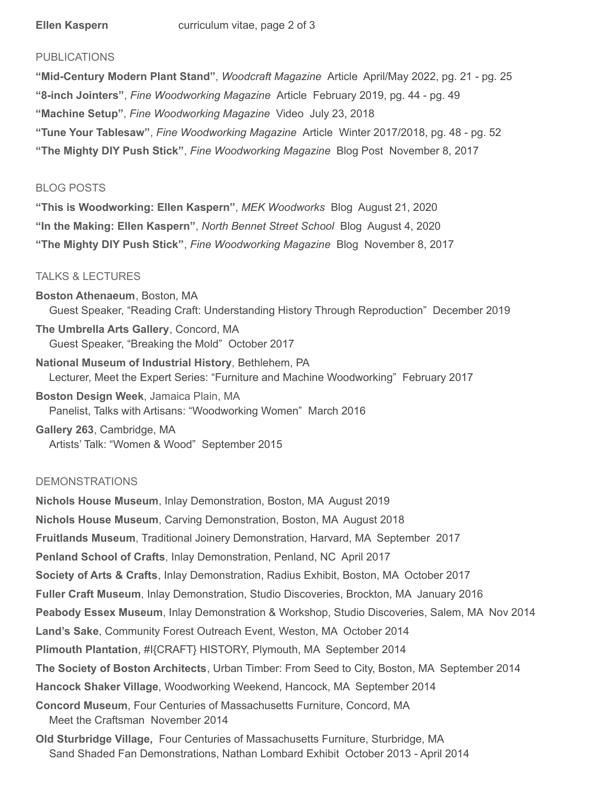### PUBLICATIONS

**"Mid-Century Modern Plant Stand"**, *Woodcraft Magazine* Article April/May 2022, pg. 21 - pg. 25 **"8-inch Jointers"**, *Fine Woodworking Magazine* Article February 2019, pg. 44 - pg. 49 **"Machine Setup"**, *Fine Woodworking Magazine* Video July 23, 2018 **"Tune Your Tablesaw"**, *Fine Woodworking Magazine* Article Winter 2017/2018, pg. 48 - pg. 52 **"The Mighty DIY Push Stick"**, *Fine Woodworking Magazine* Blog Post November 8, 2017

#### BLOG POSTS

**"This is Woodworking: Ellen Kaspern"**, *MEK Woodworks* Blog August 21, 2020 **"In the Making: Ellen Kaspern"**, *North Bennet Street School* Blog August 4, 2020 **"The Mighty DIY Push Stick"**, *Fine Woodworking Magazine* Blog November 8, 2017

### TALKS & LECTURES

**Boston Athenaeum**, Boston, MA Guest Speaker, "Reading Craft: Understanding History Through Reproduction" December 2019 **The Umbrella Arts Gallery**, Concord, MA Guest Speaker, "Breaking the Mold" October 2017 **National Museum of Industrial History**, Bethlehem, PA Lecturer, Meet the Expert Series: "Furniture and Machine Woodworking" February 2017 **Boston Design Week**, Jamaica Plain, MA Panelist, Talks with Artisans: "Woodworking Women" March 2016 **Gallery 263**, Cambridge, MA

Artists' Talk: "Women & Wood" September 2015

## DEMONSTRATIONS

**Nichols House Museum**, Inlay Demonstration, Boston, MA August 2019 **Nichols House Museum**, Carving Demonstration, Boston, MA August 2018 **Fruitlands Museum**, Traditional Joinery Demonstration, Harvard, MA September 2017 **Penland School of Crafts**, Inlay Demonstration, Penland, NC April 2017 **Society of Arts & Crafts**, Inlay Demonstration, Radius Exhibit, Boston, MA October 2017 **Fuller Craft Museum**, Inlay Demonstration, Studio Discoveries, Brockton, MA January 2016 **Peabody Essex Museum**, Inlay Demonstration & Workshop, Studio Discoveries, Salem, MA Nov 2014 **Land's Sake**, Community Forest Outreach Event, Weston, MA October 2014 **Plimouth Plantation**, #I{CRAFT} HISTORY, Plymouth, MA September 2014 **The Society of Boston Architects**, Urban Timber: From Seed to City, Boston, MA September 2014 **Hancock Shaker Village**, Woodworking Weekend, Hancock, MA September 2014 **Concord Museum**, Four Centuries of Massachusetts Furniture, Concord, MA Meet the Craftsman November 2014 **Old Sturbridge Village,** Four Centuries of Massachusetts Furniture, Sturbridge, MA

Sand Shaded Fan Demonstrations, Nathan Lombard Exhibit October 2013 - April 2014